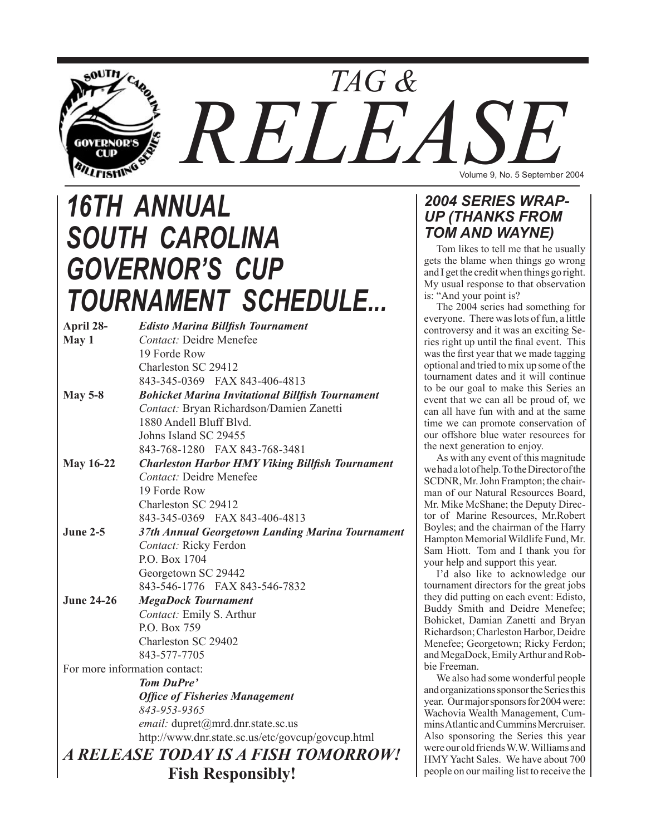

# *16TH ANNUAL SOUTH CAROLINA GOVERNOR'S CUP TOURNAMENT SCHEDULE...*

| April 28-                     | <b>Edisto Marina Billfish Tournament</b>                |
|-------------------------------|---------------------------------------------------------|
| May 1                         | Contact: Deidre Menefee                                 |
|                               | 19 Forde Row                                            |
|                               | Charleston SC 29412                                     |
|                               | 843-345-0369 FAX 843-406-4813                           |
| <b>May 5-8</b>                | <b>Bohicket Marina Invitational Billfish Tournament</b> |
|                               | Contact: Bryan Richardson/Damien Zanetti                |
|                               | 1880 Andell Bluff Blvd.                                 |
|                               | Johns Island SC 29455                                   |
|                               | 843-768-1280 FAX 843-768-3481                           |
| <b>May 16-22</b>              | <b>Charleston Harbor HMY Viking Billfish Tournament</b> |
|                               | <b>Contact:</b> Deidre Menefee                          |
|                               | 19 Forde Row                                            |
|                               | Charleston SC 29412                                     |
|                               | 843-345-0369 FAX 843-406-4813                           |
| <b>June 2-5</b>               | 37th Annual Georgetown Landing Marina Tournament        |
|                               | Contact: Ricky Ferdon                                   |
|                               | P.O. Box 1704                                           |
|                               | Georgetown SC 29442                                     |
|                               | 843-546-1776 FAX 843-546-7832                           |
| <b>June 24-26</b>             | <b>MegaDock Tournament</b>                              |
|                               | Contact: Emily S. Arthur                                |
|                               | P.O. Box 759                                            |
|                               | Charleston SC 29402                                     |
|                               | 843-577-7705                                            |
| For more information contact: |                                                         |
|                               | <b>Tom DuPre'</b>                                       |
|                               | <b>Office of Fisheries Management</b>                   |
|                               | 843-953-9365                                            |
|                               | email: dupret@mrd.dnr.state.sc.us                       |
|                               | http://www.dnr.state.sc.us/etc/govcup/govcup.html       |
|                               | A RELEASE TODAY IS A FISH TOMORROW!                     |
| <b>Fish Responsibly!</b>      |                                                         |

## *2004 SERIES WRAP-UP (THANKS FROM TOM AND WAYNE)*

Tom likes to tell me that he usually gets the blame when things go wrong and I get the credit when things go right. My usual response to that observation is: "And your point is?

The 2004 series had something for everyone. There was lots of fun, a little controversy and it was an exciting Series right up until the final event. This was the first year that we made tagging optional and tried to mix up some of the tournament dates and it will continue to be our goal to make this Series an event that we can all be proud of, we can all have fun with and at the same time we can promote conservation of our offshore blue water resources for the next generation to enjoy.

As with any event of this magnitude we had a lot of help. To the Director of the SCDNR, Mr. John Frampton; the chairman of our Natural Resources Board, Mr. Mike McShane; the Deputy Director of Marine Resources, Mr.Robert Boyles; and the chairman of the Harry Hampton Memorial Wildlife Fund, Mr. Sam Hiott. Tom and I thank you for your help and support this year.

I'd also like to acknowledge our tournament directors for the great jobs they did putting on each event: Edisto, Buddy Smith and Deidre Menefee; Bohicket, Damian Zanetti and Bryan Richardson; Charleston Harbor, Deidre Menefee; Georgetown; Ricky Ferdon; and MegaDock, Emily Arthur and Robbie Freeman.

We also had some wonderful people and organizations sponsor the Series this year. Our major sponsors for 2004 were: Wachovia Wealth Management, Cummins Atlantic and Cummins Mercruiser. Also sponsoring the Series this year were our old friends W.W. Williams and HMY Yacht Sales. We have about 700 people on our mailing list to receive the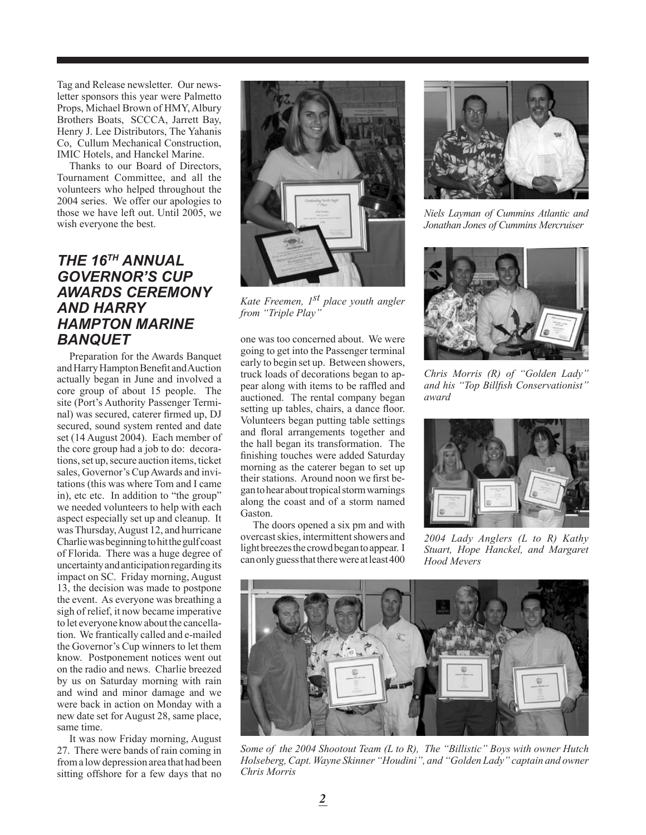Tag and Release newsletter. Our newsletter sponsors this year were Palmetto Props, Michael Brown of HMY, Albury Brothers Boats, SCCCA, Jarrett Bay, Henry J. Lee Distributors, The Yahanis Co, Cullum Mechanical Construction, IMIC Hotels, and Hanckel Marine.

Thanks to our Board of Directors, Tournament Committee, and all the volunteers who helped throughout the 2004 series. We offer our apologies to those we have left out. Until 2005, we wish everyone the best.

# *THE 16TH ANNUAL GOVERNOR'S CUP AWARDS CEREMONY AND HARRY HAMPTON MARINE BANQUET*

Preparation for the Awards Banquet and Harry Hampton Benefit and Auction actually began in June and involved a core group of about 15 people. The site (Port's Authority Passenger Terminal) was secured, caterer firmed up, DJ secured, sound system rented and date set (14 August 2004). Each member of the core group had a job to do: decorations, set up, secure auction items, ticket sales, Governor's Cup Awards and invitations (this was where Tom and I came in), etc etc. In addition to "the group" we needed volunteers to help with each aspect especially set up and cleanup. It was Thursday, August 12, and hurricane Charlie was beginning to hit the gulf coast of Florida. There was a huge degree of uncertainty and anticipation regarding its impact on SC. Friday morning, August 13, the decision was made to postpone the event. As everyone was breathing a sigh of relief, it now became imperative to let everyone know about the cancellation. We frantically called and e-mailed the Governor's Cup winners to let them know. Postponement notices went out on the radio and news. Charlie breezed by us on Saturday morning with rain and wind and minor damage and we were back in action on Monday with a new date set for August 28, same place, same time.

It was now Friday morning, August 27. There were bands of rain coming in from a low depression area that had been sitting offshore for a few days that no



*Kate Freemen, 1st place youth angler from "Triple Play"*

one was too concerned about. We were going to get into the Passenger terminal early to begin set up. Between showers, truck loads of decorations began to appear along with items to be raffled and auctioned. The rental company began setting up tables, chairs, a dance floor. Volunteers began putting table settings and floral arrangements together and the hall began its transformation. The finishing touches were added Saturday morning as the caterer began to set up their stations. Around noon we first began to hear about tropical storm warnings along the coast and of a storm named Gaston.

The doors opened a six pm and with overcast skies, intermittent showers and light breezes the crowd began to appear. I can only guess that there were at least 400



*Niels Layman of Cummins Atlantic and Jonathan Jones of Cummins Mercruiser*



*Chris Morris (R) of "Golden Lady" and his "Top Billfish Conservationist" award*



*2004 Lady Anglers (L to R) Kathy Stuart, Hope Hanckel, and Margaret Hood Mevers*



*Some of the 2004 Shootout Team (L to R), The "Billistic" Boys with owner Hutch Holseberg, Capt. Wayne Skinner "Houdini", and "Golden Lady" captain and owner Chris Morris*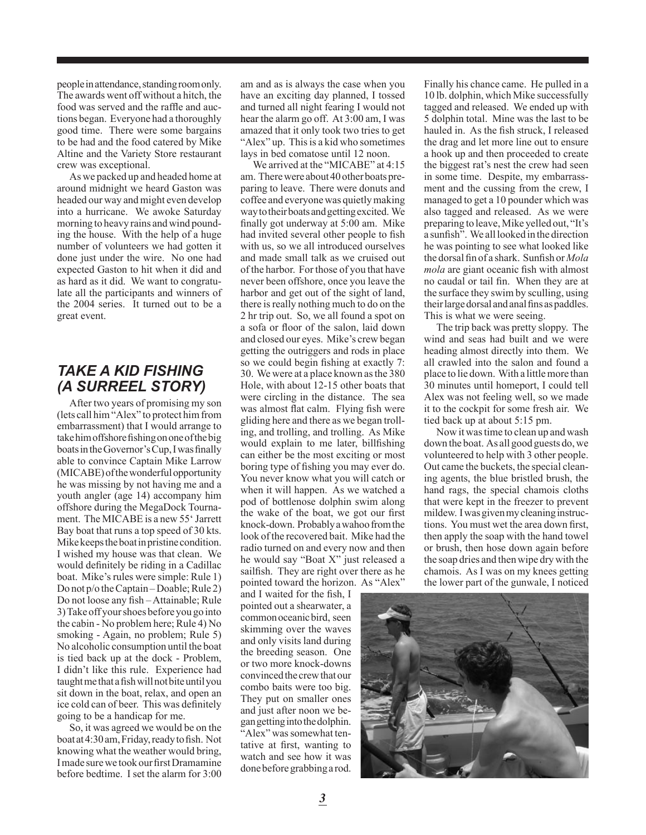people in attendance, standing room only. The awards went off without a hitch, the food was served and the raffle and auctions began. Everyone had a thoroughly good time. There were some bargains to be had and the food catered by Mike Altine and the Variety Store restaurant crew was exceptional.

As we packed up and headed home at around midnight we heard Gaston was headed our way and might even develop into a hurricane. We awoke Saturday morning to heavy rains and wind pounding the house. With the help of a huge number of volunteers we had gotten it done just under the wire. No one had expected Gaston to hit when it did and as hard as it did. We want to congratulate all the participants and winners of the 2004 series. It turned out to be a great event.

# *TAKE A KID FISHING (A SURREEL STORY)*

After two years of promising my son (lets call him "Alex" to protect him from embarrassment) that I would arrange to take him offshore fishing on one of the big boats in the Governor's Cup, I was finally able to convince Captain Mike Larrow (MICABE) of the wonderful opportunity he was missing by not having me and a youth angler (age 14) accompany him offshore during the MegaDock Tournament. The MICABE is a new 55' Jarrett Bay boat that runs a top speed of 30 kts. Mike keeps the boat in pristine condition. I wished my house was that clean. We would definitely be riding in a Cadillac boat. Mike's rules were simple: Rule 1) Do not p/o the Captain – Doable; Rule 2) Do not loose any fish – Attainable; Rule 3) Take off your shoes before you go into the cabin - No problem here; Rule 4) No smoking - Again, no problem; Rule 5) No alcoholic consumption until the boat is tied back up at the dock - Problem, I didn't like this rule. Experience had taught me that a fish will not bite until you sit down in the boat, relax, and open an ice cold can of beer. This was definitely going to be a handicap for me.

So, it was agreed we would be on the boat at 4:30 am, Friday, ready to fish. Not knowing what the weather would bring, I made sure we took our first Dramamine before bedtime. I set the alarm for 3:00

am and as is always the case when you have an exciting day planned, I tossed and turned all night fearing I would not hear the alarm go off. At 3:00 am, I was amazed that it only took two tries to get "Alex" up. This is a kid who sometimes lays in bed comatose until 12 noon.

We arrived at the "MICABE" at 4:15 am. There were about 40 other boats preparing to leave. There were donuts and coffee and everyone was quietly making way to their boats and getting excited. We finally got underway at 5:00 am. Mike had invited several other people to fish with us, so we all introduced ourselves and made small talk as we cruised out of the harbor. For those of you that have never been offshore, once you leave the harbor and get out of the sight of land, there is really nothing much to do on the 2 hr trip out. So, we all found a spot on a sofa or floor of the salon, laid down and closed our eyes. Mike's crew began getting the outriggers and rods in place so we could begin fishing at exactly 7: 30. We were at a place known as the 380 Hole, with about 12-15 other boats that were circling in the distance. The sea was almost flat calm. Flying fish were gliding here and there as we began trolling, and trolling, and trolling. As Mike would explain to me later, billfishing can either be the most exciting or most boring type of fishing you may ever do. You never know what you will catch or when it will happen. As we watched a pod of bottlenose dolphin swim along the wake of the boat, we got our first knock-down. Probably a wahoo from the look of the recovered bait. Mike had the radio turned on and every now and then he would say "Boat X" just released a sailfish. They are right over there as he pointed toward the horizon. As "Alex"

and I waited for the fish, I pointed out a shearwater, a common oceanic bird, seen skimming over the waves and only visits land during the breeding season. One or two more knock-downs convinced the crew that our combo baits were too big. They put on smaller ones and just after noon we began getting into the dolphin. "Alex" was somewhat tentative at first, wanting to watch and see how it was done before grabbing a rod.

Finally his chance came. He pulled in a 10 lb. dolphin, which Mike successfully tagged and released. We ended up with 5 dolphin total. Mine was the last to be hauled in. As the fish struck, I released the drag and let more line out to ensure a hook up and then proceeded to create the biggest rat's nest the crew had seen in some time. Despite, my embarrassment and the cussing from the crew, I managed to get a 10 pounder which was also tagged and released. As we were preparing to leave, Mike yelled out, "It's a sunfish". We all looked in the direction he was pointing to see what looked like the dorsal fin of a shark. Sunfish or *Mola mola* are giant oceanic fish with almost no caudal or tail fin. When they are at the surface they swim by sculling, using their large dorsal and anal fins as paddles. This is what we were seeing.

The trip back was pretty sloppy. The wind and seas had built and we were heading almost directly into them. We all crawled into the salon and found a place to lie down. With a little more than 30 minutes until homeport, I could tell Alex was not feeling well, so we made it to the cockpit for some fresh air. We tied back up at about 5:15 pm.

Now it was time to clean up and wash down the boat. As all good guests do, we volunteered to help with 3 other people. Out came the buckets, the special cleaning agents, the blue bristled brush, the hand rags, the special chamois cloths that were kept in the freezer to prevent mildew. I was given my cleaning instructions. You must wet the area down first, then apply the soap with the hand towel or brush, then hose down again before the soap dries and then wipe dry with the chamois. As I was on my knees getting the lower part of the gunwale, I noticed

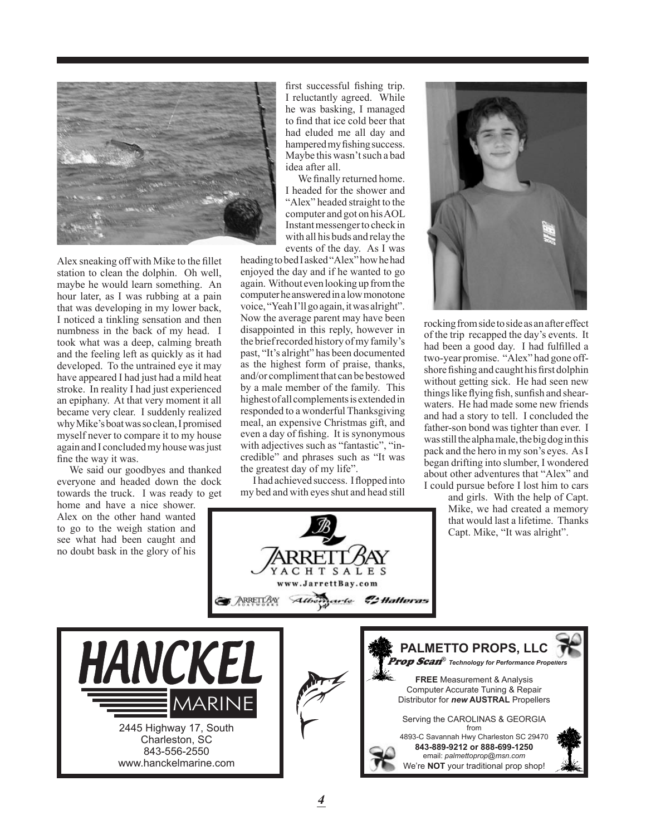

Alex sneaking off with Mike to the fillet station to clean the dolphin. Oh well, maybe he would learn something. An hour later, as I was rubbing at a pain that was developing in my lower back, I noticed a tinkling sensation and then numbness in the back of my head. I took what was a deep, calming breath and the feeling left as quickly as it had developed. To the untrained eye it may have appeared I had just had a mild heat stroke. In reality I had just experienced an epiphany. At that very moment it all became very clear. I suddenly realized why Mike's boat was so clean, I promised myself never to compare it to my house again and I concluded my house was just fine the way it was.

We said our goodbyes and thanked everyone and headed down the dock towards the truck. I was ready to get

www.hanckelmarine.com

home and have a nice shower. Alex on the other hand wanted to go to the weigh station and see what had been caught and no doubt bask in the glory of his

first successful fishing trip. I reluctantly agreed. While he was basking, I managed to find that ice cold beer that had eluded me all day and hampered my fishing success. Maybe this wasn't such a bad idea after all.

We finally returned home. I headed for the shower and "Alex" headed straight to the computer and got on his AOL Instant messenger to check in with all his buds and relay the events of the day. As I was

heading to bed I asked "Alex" how he had enjoyed the day and if he wanted to go again. Without even looking up from the computer he answered in a low monotone voice, "Yeah I'll go again, it was alright". Now the average parent may have been disappointed in this reply, however in the brief recorded history of my family's past, "It's alright" has been documented as the highest form of praise, thanks, and/or compliment that can be bestowed by a male member of the family. This highest of all complements is extended in responded to a wonderful Thanksgiving meal, an expensive Christmas gift, and even a day of fishing. It is synonymous with adjectives such as "fantastic", "incredible" and phrases such as "It was the greatest day of my life".

I had achieved success. I flopped into my bed and with eyes shut and head still



rocking from side to side as an after effect of the trip recapped the day's events. It had been a good day. I had fulfilled a two-year promise. "Alex" had gone offshore fishing and caught his first dolphin without getting sick. He had seen new things like flying fish, sunfish and shearwaters. He had made some new friends and had a story to tell. I concluded the father-son bond was tighter than ever. I was still the alpha male, the big dog in this pack and the hero in my son's eyes. As I began drifting into slumber, I wondered about other adventures that "Alex" and I could pursue before I lost him to cars

> and girls. With the help of Capt. Mike, we had created a memory that would last a lifetime. Thanks Capt. Mike, "It was alright".

email: *palmettoprop@msn.com* We're **NOT** your traditional prop shop!



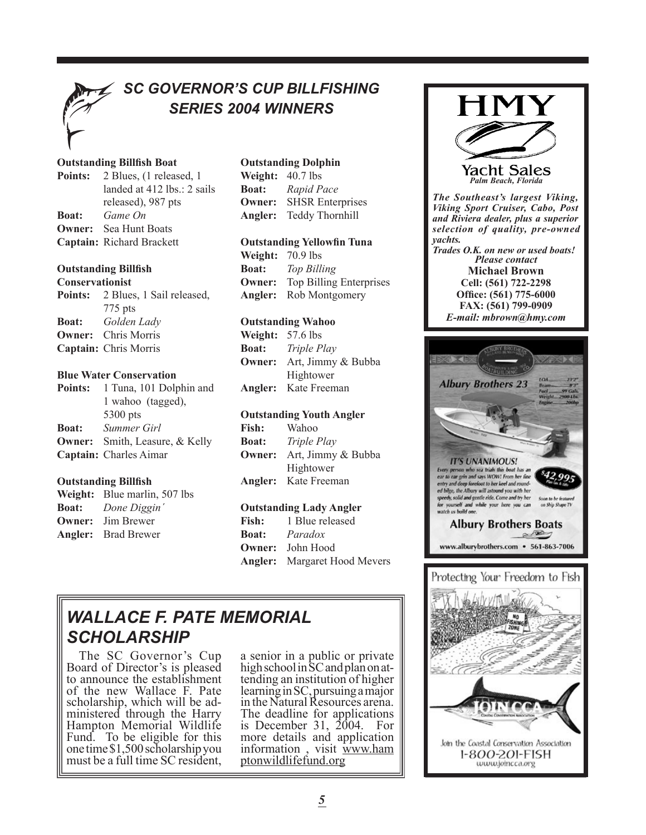

# *SC GOVERNOR'S CUP BILLFISHING SERIES 2004 WINNERS*

#### **Outstanding Billfish Boat**

|              | <b>Points:</b> 2 Blues, (1 released, 1) |
|--------------|-----------------------------------------|
|              | landed at 412 lbs.: 2 sails             |
|              | released), 987 pts                      |
| <b>Boat:</b> | Game On                                 |
|              | <b>Owner:</b> Sea Hunt Boats            |
|              | Captain: Richard Brackett               |

#### **Outstanding Billfish**

#### **Conservationist**

|              | <b>Points:</b> 2 Blues, 1 Sail released, |
|--------------|------------------------------------------|
|              | $775$ pts                                |
| <b>Boat:</b> | Golden Lady                              |
|              | <b>Owner:</b> Chris Morris               |
|              | Captain: Chris Morris                    |

#### **Blue Water Conservation**

|              | Points: 1 Tuna, 101 Dolphin and       |
|--------------|---------------------------------------|
|              | 1 wahoo (tagged),                     |
|              | 5300 pts                              |
| <b>Boat:</b> | Summer Girl                           |
|              | <b>Owner:</b> Smith, Leasure, & Kelly |
|              | Captain: Charles Aimar                |

#### **Outstanding Billfish**

| Weight: Blue marlin, 507 lbs |
|------------------------------|
| <b>Boat:</b> Done Diggin'    |
| <b>Owner:</b> Jim Brewer     |
| <b>Angler:</b> Brad Brewer   |

#### **Outstanding Dolphin**

| Weight: $40.7$ lbs |                         |
|--------------------|-------------------------|
| <b>Boat:</b>       | Rapid Pace              |
| <b>Owner:</b>      | <b>SHSR</b> Enterprises |
|                    | Angler: Teddy Thornhill |

### **Outstanding Yellowfin Tuna**

**Weight:** 70.9 lbs **Boat:** *Top Billing* **Owner:** Top Billing Enterprises **Angler:** Rob Montgomery

#### **Outstanding Wahoo**

| <b>Weight:</b> $57.6$ lbs |                             |
|---------------------------|-----------------------------|
| <b>Boat:</b>              | Triple Play                 |
| Owner:                    | Art, Jimmy & Bubba          |
|                           | Hightower                   |
|                           | <b>Angler:</b> Kate Freeman |

#### **Outstanding Youth Angler**

| <b>Fish:</b>  | Wahoo                       |
|---------------|-----------------------------|
| <b>Boat:</b>  | Triple Play                 |
| <b>Owner:</b> | Art, Jimmy & Bubba          |
|               | Hightower                   |
|               | <b>Angler:</b> Kate Freeman |

#### **Outstanding Lady Angler**

| <b>Fish:</b> | 1 Blue released                     |
|--------------|-------------------------------------|
|              | <b>Boat:</b> <i>Paradox</i>         |
|              | <b>Owner:</b> John Hood             |
|              | <b>Angler:</b> Margaret Hood Mevers |

# *WALLACE F. PATE MEMORIAL SCHOLARSHIP*

The SC Governor's Cup Board of Director's is pleased to announce the establishment of the new Wallace F. Pate scholarship, which will be administered through the Harry Hampton Memorial Wildlife Fund. To be eligible for this one time \$1,500 scholarship you must be a full time SC resident,

a senior in a public or private high school in SC and plan on attending an institution of higher learning in SC, pursuing a major in the Natural Resources arena. The deadline for applications is December 31, 2004. For more details and application information , visit www.ham ptonwildlifefund.org



*The Southeast's largest Viking, Viking Sport Cruiser, Cabo, Post and Riviera dealer, plus a superior selection of quality, pre-owned yachts.*

*Please contact* **Michael Brown Cell: (561) 722-2298 Office: (561) 775-6000 FAX: (561) 799-0909** *E-mail: mbrown@hmy.com Trades O.K. on new or used boats!*